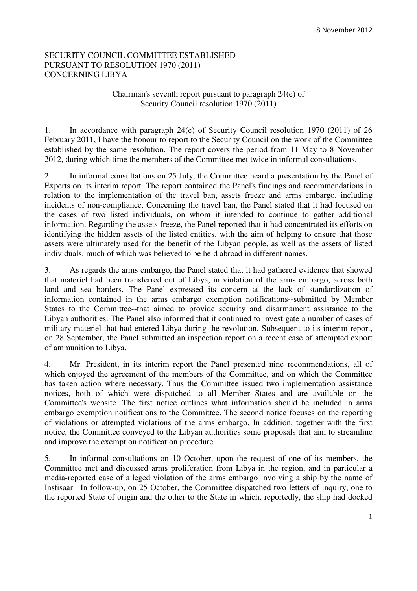## SECURITY COUNCIL COMMITTEE ESTABLISHED PURSUANT TO RESOLUTION 1970 (2011) CONCERNING LIBYA

## Chairman's seventh report pursuant to paragraph 24(e) of Security Council resolution 1970 (2011)

1. In accordance with paragraph 24(e) of Security Council resolution 1970 (2011) of 26 February 2011, I have the honour to report to the Security Council on the work of the Committee established by the same resolution. The report covers the period from 11 May to 8 November 2012, during which time the members of the Committee met twice in informal consultations.

2. In informal consultations on 25 July, the Committee heard a presentation by the Panel of Experts on its interim report. The report contained the Panel's findings and recommendations in relation to the implementation of the travel ban, assets freeze and arms embargo, including incidents of non-compliance. Concerning the travel ban, the Panel stated that it had focused on the cases of two listed individuals, on whom it intended to continue to gather additional information. Regarding the assets freeze, the Panel reported that it had concentrated its efforts on identifying the hidden assets of the listed entities, with the aim of helping to ensure that those assets were ultimately used for the benefit of the Libyan people, as well as the assets of listed individuals, much of which was believed to be held abroad in different names.

3. As regards the arms embargo, the Panel stated that it had gathered evidence that showed that materiel had been transferred out of Libya, in violation of the arms embargo, across both land and sea borders. The Panel expressed its concern at the lack of standardization of information contained in the arms embargo exemption notifications--submitted by Member States to the Committee--that aimed to provide security and disarmament assistance to the Libyan authorities. The Panel also informed that it continued to investigate a number of cases of military materiel that had entered Libya during the revolution. Subsequent to its interim report, on 28 September, the Panel submitted an inspection report on a recent case of attempted export of ammunition to Libya.

4. Mr. President, in its interim report the Panel presented nine recommendations, all of which enjoyed the agreement of the members of the Committee, and on which the Committee has taken action where necessary. Thus the Committee issued two implementation assistance notices, both of which were dispatched to all Member States and are available on the Committee's website. The first notice outlines what information should be included in arms embargo exemption notifications to the Committee. The second notice focuses on the reporting of violations or attempted violations of the arms embargo. In addition, together with the first notice, the Committee conveyed to the Libyan authorities some proposals that aim to streamline and improve the exemption notification procedure.

5. In informal consultations on 10 October, upon the request of one of its members, the Committee met and discussed arms proliferation from Libya in the region, and in particular a media-reported case of alleged violation of the arms embargo involving a ship by the name of Instisaar. In follow-up, on 25 October, the Committee dispatched two letters of inquiry, one to the reported State of origin and the other to the State in which, reportedly, the ship had docked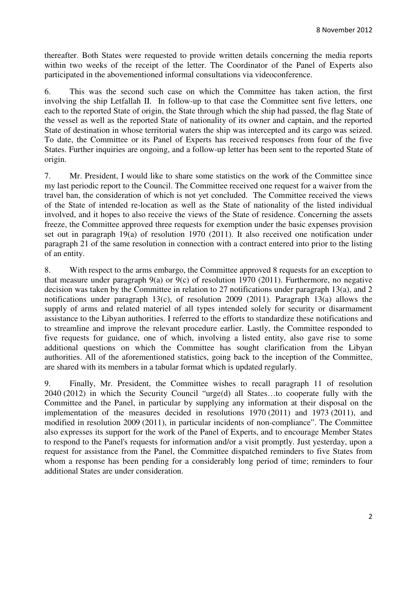thereafter. Both States were requested to provide written details concerning the media reports within two weeks of the receipt of the letter. The Coordinator of the Panel of Experts also participated in the abovementioned informal consultations via videoconference.

6. This was the second such case on which the Committee has taken action, the first involving the ship Letfallah II. In follow-up to that case the Committee sent five letters, one each to the reported State of origin, the State through which the ship had passed, the flag State of the vessel as well as the reported State of nationality of its owner and captain, and the reported State of destination in whose territorial waters the ship was intercepted and its cargo was seized. To date, the Committee or its Panel of Experts has received responses from four of the five States. Further inquiries are ongoing, and a follow-up letter has been sent to the reported State of origin.

7. Mr. President, I would like to share some statistics on the work of the Committee since my last periodic report to the Council. The Committee received one request for a waiver from the travel ban, the consideration of which is not yet concluded. The Committee received the views of the State of intended re-location as well as the State of nationality of the listed individual involved, and it hopes to also receive the views of the State of residence. Concerning the assets freeze, the Committee approved three requests for exemption under the basic expenses provision set out in paragraph 19(a) of resolution 1970 (2011). It also received one notification under paragraph 21 of the same resolution in connection with a contract entered into prior to the listing of an entity.

8. With respect to the arms embargo, the Committee approved 8 requests for an exception to that measure under paragraph  $9(a)$  or  $9(c)$  of resolution 1970 (2011). Furthermore, no negative decision was taken by the Committee in relation to 27 notifications under paragraph 13(a), and 2 notifications under paragraph 13(c), of resolution 2009 (2011). Paragraph 13(a) allows the supply of arms and related materiel of all types intended solely for security or disarmament assistance to the Libyan authorities. I referred to the efforts to standardize these notifications and to streamline and improve the relevant procedure earlier. Lastly, the Committee responded to five requests for guidance, one of which, involving a listed entity, also gave rise to some additional questions on which the Committee has sought clarification from the Libyan authorities. All of the aforementioned statistics, going back to the inception of the Committee, are shared with its members in a tabular format which is updated regularly.

9. Finally, Mr. President, the Committee wishes to recall paragraph 11 of resolution 2040 (2012) in which the Security Council "urge(d) all States…to cooperate fully with the Committee and the Panel, in particular by supplying any information at their disposal on the implementation of the measures decided in resolutions 1970 (2011) and 1973 (2011), and modified in resolution 2009 (2011), in particular incidents of non-compliance". The Committee also expresses its support for the work of the Panel of Experts, and to encourage Member States to respond to the Panel's requests for information and/or a visit promptly. Just yesterday, upon a request for assistance from the Panel, the Committee dispatched reminders to five States from whom a response has been pending for a considerably long period of time; reminders to four additional States are under consideration.